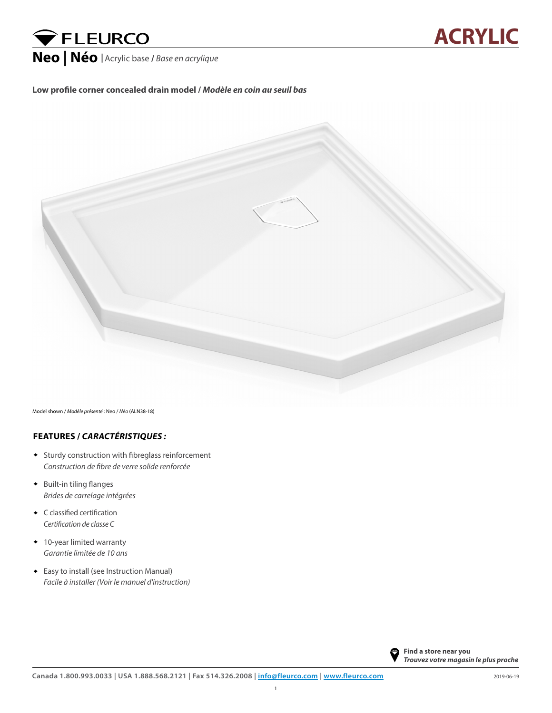## **VELEURCO**

## **Low profile corner concealed drain model /** *Modèle en coin au seuil bas*



Model shown / *Modèle présenté* : Neo / *Néo* (ALN38-18)

## **FEATURES /** *CARACTÉRISTIQUES :*

- Sturdy construction with fibreglass reinforcement *Construction de fibre de verre solide renforcée*
- **•** Built-in tiling flanges *Brides de carrelage intégrées*
- C classified certification ♦ *Certification de classe C*
- 10-year limited warranty ♦ *Garantie limitée de 10 ans*
- ♦ Easy to install (see Instruction Manual) *Facile à installer (Voir le manuel d'instruction)*



**ACRYLIC**